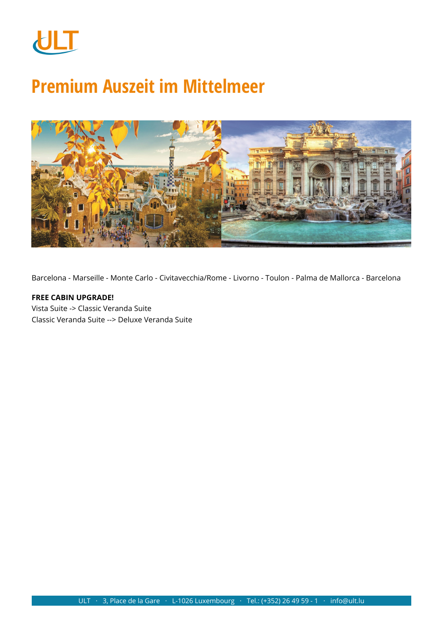

# **Premium Auszeit im Mittelmeer**



Barcelona - Marseille - Monte Carlo - Civitavecchia/Rome - Livorno - Toulon - Palma de Mallorca - Barcelona

### **FREE CABIN UPGRADE!** Vista Suite -> Classic Veranda Suite Classic Veranda Suite --> Deluxe Veranda Suite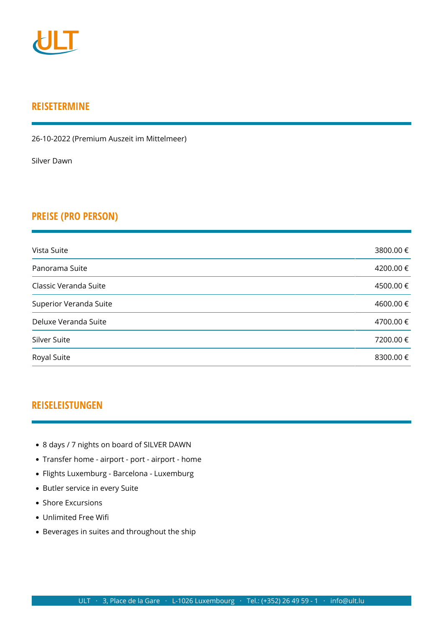

## **REISETERMINE**

26-10-2022 (Premium Auszeit im Mittelmeer)

[Silver Dawn](https://www.ult.lu/de/unterbringung/h/2993.html)

## **PREISE (PRO PERSON)**

| Vista Suite            | 3800.00 € |
|------------------------|-----------|
| Panorama Suite         | 4200.00€  |
| Classic Veranda Suite  | 4500.00 € |
| Superior Veranda Suite | 4600.00€  |
| Deluxe Veranda Suite   | 4700.00 € |
| Silver Suite           | 7200.00 € |
| Royal Suite            | 8300.00 € |

## **REISELEISTUNGEN**

- 8 days / 7 nights on board of SILVER DAWN
- Transfer home airport port airport home
- Flights Luxemburg Barcelona Luxemburg
- Butler service in every Suite
- Shore Excursions
- Unlimited Free Wifi
- Beverages in suites and throughout the ship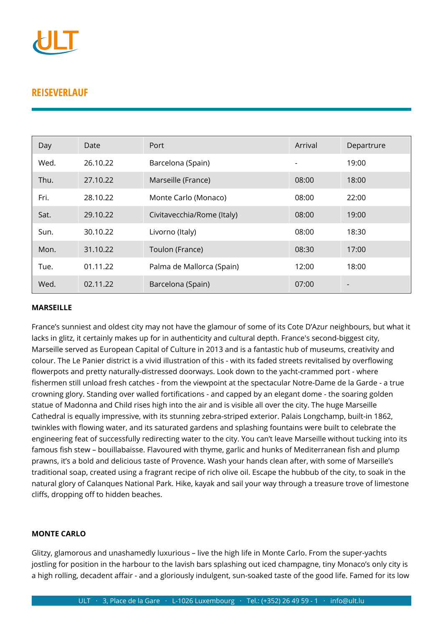

## **REISEVERLAUF**

| Day  | Date     | Port                       | Arrival | Departrure |
|------|----------|----------------------------|---------|------------|
| Wed. | 26.10.22 | Barcelona (Spain)          |         | 19:00      |
| Thu. | 27.10.22 | Marseille (France)         | 08:00   | 18:00      |
| Fri. | 28.10.22 | Monte Carlo (Monaco)       | 08:00   | 22:00      |
| Sat. | 29.10.22 | Civitavecchia/Rome (Italy) | 08:00   | 19:00      |
| Sun. | 30.10.22 | Livorno (Italy)            | 08:00   | 18:30      |
| Mon. | 31.10.22 | Toulon (France)            | 08:30   | 17:00      |
| Tue. | 01.11.22 | Palma de Mallorca (Spain)  | 12:00   | 18:00      |
| Wed. | 02.11.22 | Barcelona (Spain)          | 07:00   |            |

#### **MARSEILLE**

France's sunniest and oldest city may not have the glamour of some of its Cote D'Azur neighbours, but what it lacks in glitz, it certainly makes up for in authenticity and cultural depth. France's second-biggest city, Marseille served as European Capital of Culture in 2013 and is a fantastic hub of museums, creativity and colour. The Le Panier district is a vivid illustration of this - with its faded streets revitalised by overflowing flowerpots and pretty naturally-distressed doorways. Look down to the yacht-crammed port - where fishermen still unload fresh catches - from the viewpoint at the spectacular Notre-Dame de la Garde - a true crowning glory. Standing over walled fortifications - and capped by an elegant dome - the soaring golden statue of Madonna and Child rises high into the air and is visible all over the city. The huge Marseille Cathedral is equally impressive, with its stunning zebra-striped exterior. Palais Longchamp, built-in 1862, twinkles with flowing water, and its saturated gardens and splashing fountains were built to celebrate the engineering feat of successfully redirecting water to the city. You can't leave Marseille without tucking into its famous fish stew – bouillabaisse. Flavoured with thyme, garlic and hunks of Mediterranean fish and plump prawns, it's a bold and delicious taste of Provence. Wash your hands clean after, with some of Marseille's traditional soap, created using a fragrant recipe of rich olive oil. Escape the hubbub of the city, to soak in the natural glory of Calanques National Park. Hike, kayak and sail your way through a treasure trove of limestone cliffs, dropping off to hidden beaches.

#### **MONTE CARLO**

Glitzy, glamorous and unashamedly luxurious – live the high life in Monte Carlo. From the super-yachts jostling for position in the harbour to the lavish bars splashing out iced champagne, tiny Monaco's only city is a high rolling, decadent affair - and a gloriously indulgent, sun-soaked taste of the good life. Famed for its low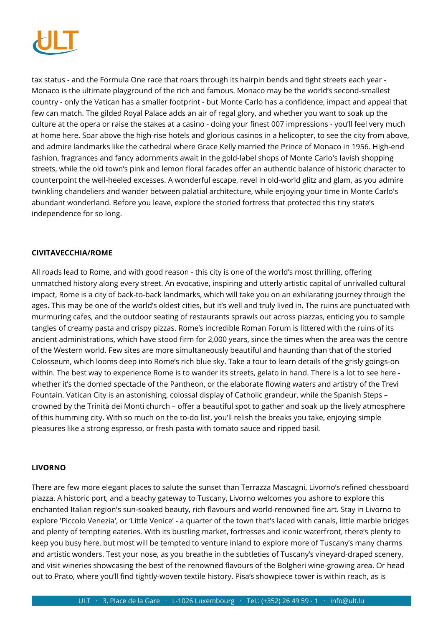

tax status - and the Formula One race that roars through its hairpin bends and tight streets each year - Monaco is the ultimate playground of the rich and famous. Monaco may be the world's second-smallest country - only the Vatican has a smaller footprint - but Monte Carlo has a confidence, impact and appeal that few can match. The gilded Royal Palace adds an air of regal glory, and whether you want to soak up the culture at the opera or raise the stakes at a casino - doing your finest 007 impressions - you'll feel very much at home here. Soar above the high-rise hotels and glorious casinos in a helicopter, to see the city from above, and admire landmarks like the cathedral where Grace Kelly married the Prince of Monaco in 1956. High-end fashion, fragrances and fancy adornments await in the gold-label shops of Monte Carlo's lavish shopping streets, while the old town's pink and lemon floral facades offer an authentic balance of historic character to counterpoint the well-heeled excesses. A wonderful escape, revel in old-world glitz and glam, as you admire twinkling chandeliers and wander between palatial architecture, while enjoying your time in Monte Carlo's abundant wonderland. Before you leave, explore the storied fortress that protected this tiny state's independence for so long.

#### **CIVITAVECCHIA/ROME**

All roads lead to Rome, and with good reason - this city is one of the world's most thrilling, offering unmatched history along every street. An evocative, inspiring and utterly artistic capital of unrivalled cultural impact, Rome is a city of back-to-back landmarks, which will take you on an exhilarating journey through the ages. This may be one of the world's oldest cities, but it's well and truly lived in. The ruins are punctuated with murmuring cafes, and the outdoor seating of restaurants sprawls out across piazzas, enticing you to sample tangles of creamy pasta and crispy pizzas. Rome's incredible Roman Forum is littered with the ruins of its ancient administrations, which have stood firm for 2,000 years, since the times when the area was the centre of the Western world. Few sites are more simultaneously beautiful and haunting than that of the storied Colosseum, which looms deep into Rome's rich blue sky. Take a tour to learn details of the grisly goings-on within. The best way to experience Rome is to wander its streets, gelato in hand. There is a lot to see here whether it's the domed spectacle of the Pantheon, or the elaborate flowing waters and artistry of the Trevi Fountain. Vatican City is an astonishing, colossal display of Catholic grandeur, while the Spanish Steps – crowned by the Trinità dei Monti church – offer a beautiful spot to gather and soak up the lively atmosphere of this humming city. With so much on the to-do list, you'll relish the breaks you take, enjoying simple pleasures like a strong espresso, or fresh pasta with tomato sauce and ripped basil.

#### **LIVORNO**

There are few more elegant places to salute the sunset than Terrazza Mascagni, Livorno's refined chessboard piazza. A historic port, and a beachy gateway to Tuscany, Livorno welcomes you ashore to explore this enchanted Italian region's sun-soaked beauty, rich flavours and world-renowned fine art. Stay in Livorno to explore 'Piccolo Venezia', or 'Little Venice' - a quarter of the town that's laced with canals, little marble bridges and plenty of tempting eateries. With its bustling market, fortresses and iconic waterfront, there's plenty to keep you busy here, but most will be tempted to venture inland to explore more of Tuscany's many charms and artistic wonders. Test your nose, as you breathe in the subtleties of Tuscany's vineyard-draped scenery, and visit wineries showcasing the best of the renowned flavours of the Bolgheri wine-growing area. Or head out to Prato, where you'll find tightly-woven textile history. Pisa's showpiece tower is within reach, as is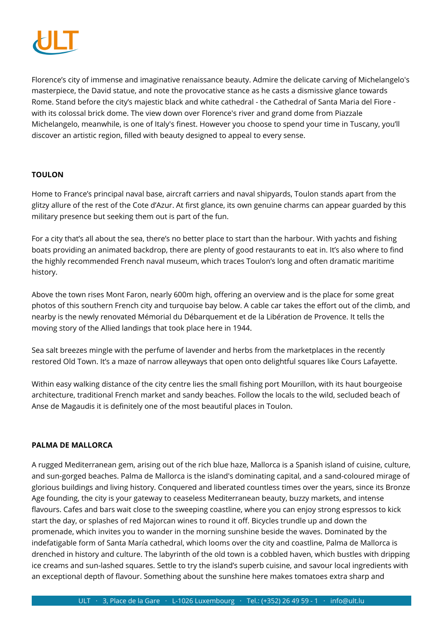

Florence's city of immense and imaginative renaissance beauty. Admire the delicate carving of Michelangelo's masterpiece, the David statue, and note the provocative stance as he casts a dismissive glance towards Rome. Stand before the city's majestic black and white cathedral - the Cathedral of Santa Maria del Fiore with its colossal brick dome. The view down over Florence's river and grand dome from Piazzale Michelangelo, meanwhile, is one of Italy's finest. However you choose to spend your time in Tuscany, you'll discover an artistic region, filled with beauty designed to appeal to every sense.

#### **TOULON**

Home to France's principal naval base, aircraft carriers and naval shipyards, Toulon stands apart from the glitzy allure of the rest of the Cote d'Azur. At first glance, its own genuine charms can appear guarded by this military presence but seeking them out is part of the fun.

For a city that's all about the sea, there's no better place to start than the harbour. With yachts and fishing boats providing an animated backdrop, there are plenty of good restaurants to eat in. It's also where to find the highly recommended French naval museum, which traces Toulon's long and often dramatic maritime history.

Above the town rises Mont Faron, nearly 600m high, offering an overview and is the place for some great photos of this southern French city and turquoise bay below. A cable car takes the effort out of the climb, and nearby is the newly renovated Mémorial du Débarquement et de la Libération de Provence. It tells the moving story of the Allied landings that took place here in 1944.

Sea salt breezes mingle with the perfume of lavender and herbs from the marketplaces in the recently restored Old Town. It's a maze of narrow alleyways that open onto delightful squares like Cours Lafayette.

Within easy walking distance of the city centre lies the small fishing port Mourillon, with its haut bourgeoise architecture, traditional French market and sandy beaches. Follow the locals to the wild, secluded beach of Anse de Magaudis it is definitely one of the most beautiful places in Toulon.

#### **PALMA DE MALLORCA**

A rugged Mediterranean gem, arising out of the rich blue haze, Mallorca is a Spanish island of cuisine, culture, and sun-gorged beaches. Palma de Mallorca is the island's dominating capital, and a sand-coloured mirage of glorious buildings and living history. Conquered and liberated countless times over the years, since its Bronze Age founding, the city is your gateway to ceaseless Mediterranean beauty, buzzy markets, and intense flavours. Cafes and bars wait close to the sweeping coastline, where you can enjoy strong espressos to kick start the day, or splashes of red Majorcan wines to round it off. Bicycles trundle up and down the promenade, which invites you to wander in the morning sunshine beside the waves. Dominated by the indefatigable form of Santa María cathedral, which looms over the city and coastline, Palma de Mallorca is drenched in history and culture. The labyrinth of the old town is a cobbled haven, which bustles with dripping ice creams and sun-lashed squares. Settle to try the island's superb cuisine, and savour local ingredients with an exceptional depth of flavour. Something about the sunshine here makes tomatoes extra sharp and